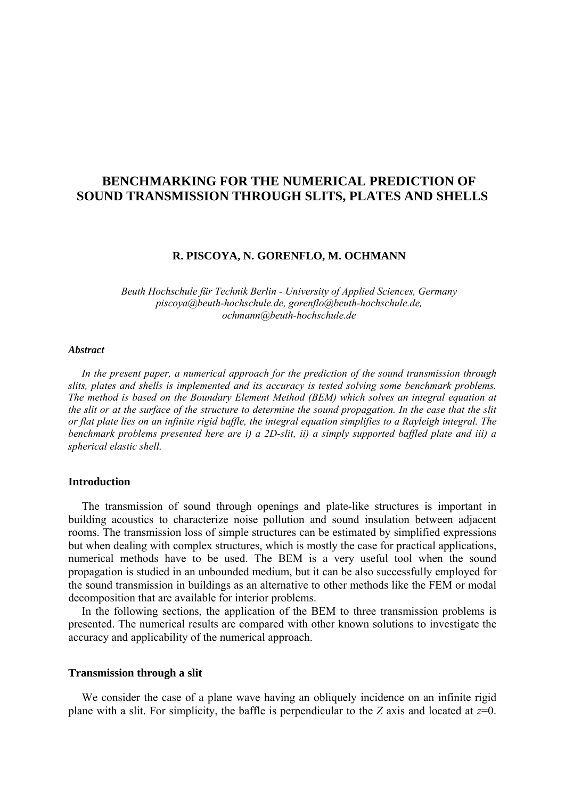# **BENCHMARKING FOR THE NUMERICAL PREDICTION OF SOUND TRANSMISSION THROUGH SLITS, PLATES AND SHELLS**

### **R. PISCOYA, N. GORENFLO, M. OCHMANN**

*Beuth Hochschule für Technik Berlin - University of Applied Sciences, Germany piscoya@beuth-hochschule.de, gorenflo@beuth-hochschule.de, ochmann@beuth-hochschule.de* 

#### *Abstract*

*In the present paper, a numerical approach for the prediction of the sound transmission through slits, plates and shells is implemented and its accuracy is tested solving some benchmark problems. The method is based on the Boundary Element Method (BEM) which solves an integral equation at the slit or at the surface of the structure to determine the sound propagation. In the case that the slit or flat plate lies on an infinite rigid baffle, the integral equation simplifies to a Rayleigh integral. The benchmark problems presented here are i) a 2D-slit, ii) a simply supported baffled plate and iii) a spherical elastic shell.* 

#### **Introduction**

The transmission of sound through openings and plate-like structures is important in building acoustics to characterize noise pollution and sound insulation between adjacent rooms. The transmission loss of simple structures can be estimated by simplified expressions but when dealing with complex structures, which is mostly the case for practical applications, numerical methods have to be used. The BEM is a very useful tool when the sound propagation is studied in an unbounded medium, but it can be also successfully employed for the sound transmission in buildings as an alternative to other methods like the FEM or modal decomposition that are available for interior problems.

In the following sections, the application of the BEM to three transmission problems is presented. The numerical results are compared with other known solutions to investigate the accuracy and applicability of the numerical approach.

#### **Transmission through a slit**

We consider the case of a plane wave having an obliquely incidence on an infinite rigid plane with a slit. For simplicity, the baffle is perpendicular to the *Z* axis and located at *z*=0.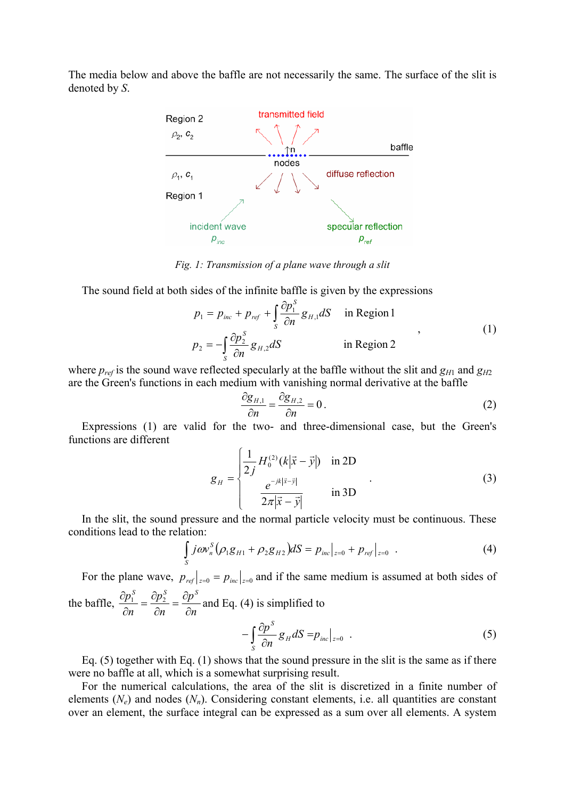The media below and above the baffle are not necessarily the same. The surface of the slit is denoted by *S*.



*Fig. 1: Transmission of a plane wave through a slit* 

The sound field at both sides of the infinite baffle is given by the expressions

$$
p_1 = p_{inc} + p_{ref} + \int_{S} \frac{\partial p_1^S}{\partial n} g_{H,1} dS \quad \text{in Region 1}
$$
  

$$
p_2 = -\int_{S} \frac{\partial p_2^S}{\partial n} g_{H,2} dS \quad \text{in Region 2}
$$
 (1)

where  $p_{ref}$  is the sound wave reflected specularly at the baffle without the slit and  $g_{H1}$  and  $g_{H2}$ are the Green's functions in each medium with vanishing normal derivative at the baffle

$$
\frac{\partial g_{H,1}}{\partial n} = \frac{\partial g_{H,2}}{\partial n} = 0.
$$
 (2)

Expressions (1) are valid for the two- and three-dimensional case, but the Green's functions are different

$$
g_{H} = \begin{cases} \frac{1}{2j} H_{0}^{(2)}(k|\vec{x} - \vec{y}|) & \text{in 2D} \\ \frac{e^{-jk|\vec{x} - \vec{y}|}}{2\pi |\vec{x} - \vec{y}|} & \text{in 3D} \end{cases}
$$
(3)

In the slit, the sound pressure and the normal particle velocity must be continuous. These conditions lead to the relation:

$$
\int_{S} j \omega v_n^{S} (\rho_1 g_{H1} + \rho_2 g_{H2}) dS = p_{inc}|_{z=0} + p_{ref}|_{z=0} . \tag{4}
$$

For the plane wave,  $p_{ref}|_{z=0} = p_{inc}|_{z=0}$  and if the same medium is assumed at both sides of *p p*  $p_1^S$   $\partial p_2^S$   $\partial p_3^S$ 

the baffle, *n n n*  $\frac{\partial p_1^S}{\partial n} = \frac{\partial p_2^S}{\partial n} = \frac{\partial p^S}{\partial n}$  and Eq. (4) is simplified to

$$
-\int_{S} \frac{\partial p^{S}}{\partial n} g_{H} dS = p_{inc}|_{z=0} . \qquad (5)
$$

Eq.  $(5)$  together with Eq.  $(1)$  shows that the sound pressure in the slit is the same as if there were no baffle at all, which is a somewhat surprising result.

For the numerical calculations, the area of the slit is discretized in a finite number of elements  $(N_e)$  and nodes  $(N_n)$ . Considering constant elements, i.e. all quantities are constant over an element, the surface integral can be expressed as a sum over all elements. A system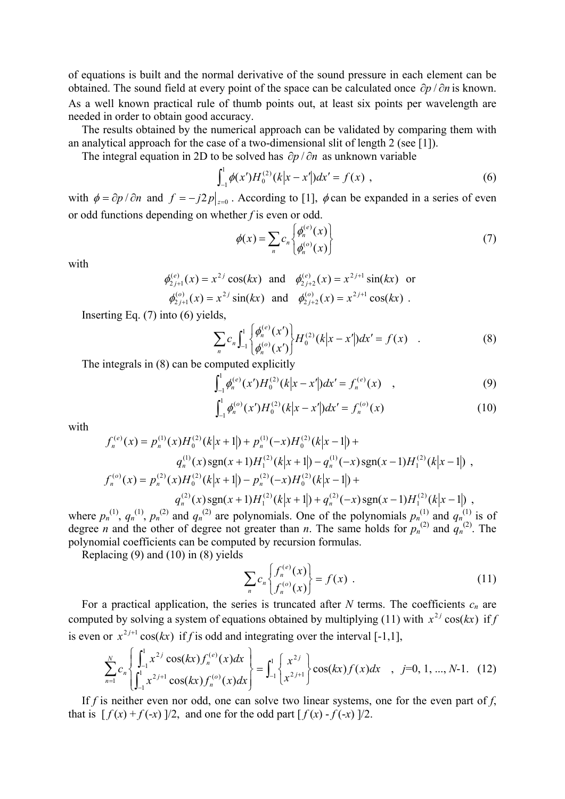of equations is built and the normal derivative of the sound pressure in each element can be obtained. The sound field at every point of the space can be calculated once  $\partial p / \partial n$  is known. As a well known practical rule of thumb points out, at least six points per wavelength are needed in order to obtain good accuracy.

The results obtained by the numerical approach can be validated by comparing them with an analytical approach for the case of a two-dimensional slit of length 2 (see [1]).

The integral equation in 2D to be solved has  $\partial p / \partial n$  as unknown variable

$$
\int_{-1}^{1} \phi(x') H_0^{(2)}(k|x - x'|) dx' = f(x) , \qquad (6)
$$

with  $\phi = \partial p / \partial n$  and  $f = -j2p|_{z=0}$ . According to [1],  $\phi$  can be expanded in a series of even or odd functions depending on whether *f* is even or odd.

$$
\phi(x) = \sum_{n} c_n \begin{Bmatrix} \phi_n^{(e)}(x) \\ \phi_n^{(o)}(x) \end{Bmatrix}
$$
 (7)

with

$$
\phi_{2j+1}^{(e)}(x) = x^{2j} \cos(kx) \text{ and } \phi_{2j+2}^{(e)}(x) = x^{2j+1} \sin(kx) \text{ or}
$$
  

$$
\phi_{2j+1}^{(o)}(x) = x^{2j} \sin(kx) \text{ and } \phi_{2j+2}^{(o)}(x) = x^{2j+1} \cos(kx) .
$$

Inserting Eq. (7) into (6) yields,

$$
\sum_{n} c_{n} \int_{-1}^{1} \left\{ \frac{\phi_{n}^{(e)}(x')}{\phi_{n}^{(o)}(x')} \right\} H_{0}^{(2)}(k|x-x'|) dx' = f(x) \quad . \tag{8}
$$

The integrals in (8) can be computed explicitly

$$
\int_{-1}^{1} \phi_n^{(e)}(x') H_0^{(2)}(k|x-x'|) dx' = f_n^{(e)}(x) \quad , \tag{9}
$$

$$
\int_{-1}^{1} \phi_n^{(o)}(x') H_0^{(2)}(k|x-x'|) dx' = f_n^{(o)}(x)
$$
 (10)

with

$$
f_n^{(e)}(x) = p_n^{(1)}(x)H_0^{(2)}(k|x+1|) + p_n^{(1)}(-x)H_0^{(2)}(k|x-1|) +
$$
  
\n
$$
q_n^{(1)}(x)\operatorname{sgn}(x+1)H_1^{(2)}(k|x+1|) - q_n^{(1)}(-x)\operatorname{sgn}(x-1)H_1^{(2)}(k|x-1|) ,
$$
  
\n
$$
f_n^{(e)}(x) = p_n^{(2)}(x)H_0^{(2)}(k|x+1|) - p_n^{(2)}(-x)H_0^{(2)}(k|x-1|) +
$$
  
\n
$$
q_n^{(2)}(x)\operatorname{sgn}(x+1)H_1^{(2)}(k|x+1|) + q_n^{(2)}(-x)\operatorname{sgn}(x-1)H_1^{(2)}(k|x-1|) ,
$$

where  $p_n^{(1)}$ ,  $q_n^{(1)}$ ,  $p_n^{(2)}$  and  $q_n^{(2)}$  are polynomials. One of the polynomials  $p_n^{(1)}$  and  $q_n^{(1)}$  is of degree *n* and the other of degree not greater than *n*. The same holds for  $p_n^{(2)}$  and  $q_n^{(2)}$ . The polynomial coefficients can be computed by recursion formulas.

Replacing (9) and (10) in (8) yields

$$
\sum_{n} c_n \begin{Bmatrix} f_n^{(e)}(x) \\ f_n^{(o)}(x) \end{Bmatrix} = f(x) . \tag{11}
$$

For a practical application, the series is truncated after  $N$  terms. The coefficients  $c_n$  are computed by solving a system of equations obtained by multiplying (11) with  $x^{2j} \cos(kx)$  if *f* is even or  $x^{2j+1} \cos(kx)$  if *f* is odd and integrating over the interval [-1,1],

$$
\sum_{n=1}^{N} c_n \left\{ \int_{-1}^{1} x^{2j} \cos(kx) f_n^{(e)}(x) dx \right\} = \int_{-1}^{1} \left\{ \frac{x^{2j}}{x^{2j+1}} \right\} \cos(kx) f(x) dx , j=0, 1, ..., N-1. (12)
$$

If *f* is neither even nor odd, one can solve two linear systems, one for the even part of *f*, that is  $[f(x) + f(-x)]/2$ , and one for the odd part  $[f(x) - f(-x)]/2$ .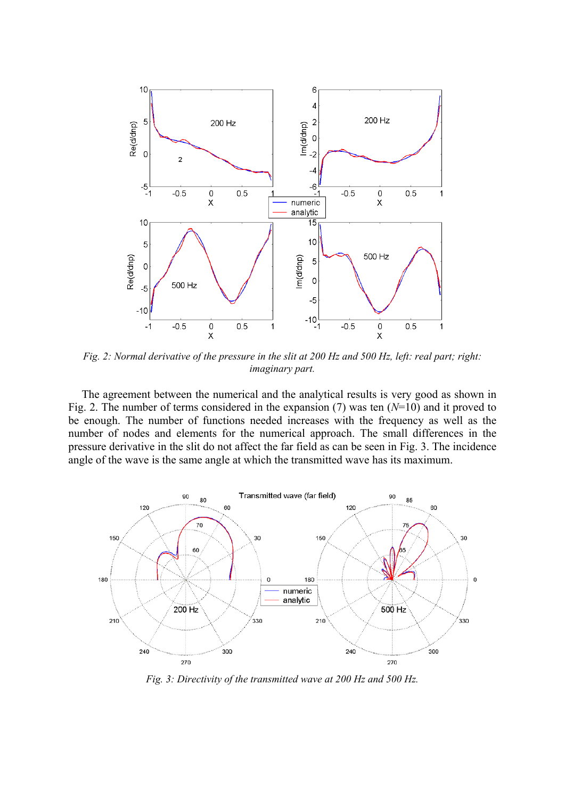

*Fig. 2: Normal derivative of the pressure in the slit at 200 Hz and 500 Hz, left: real part; right: imaginary part.* 

The agreement between the numerical and the analytical results is very good as shown in Fig. 2. The number of terms considered in the expansion (7) was ten (*N*=10) and it proved to be enough. The number of functions needed increases with the frequency as well as the number of nodes and elements for the numerical approach. The small differences in the pressure derivative in the slit do not affect the far field as can be seen in Fig. 3. The incidence angle of the wave is the same angle at which the transmitted wave has its maximum.



*Fig. 3: Directivity of the transmitted wave at 200 Hz and 500 Hz.*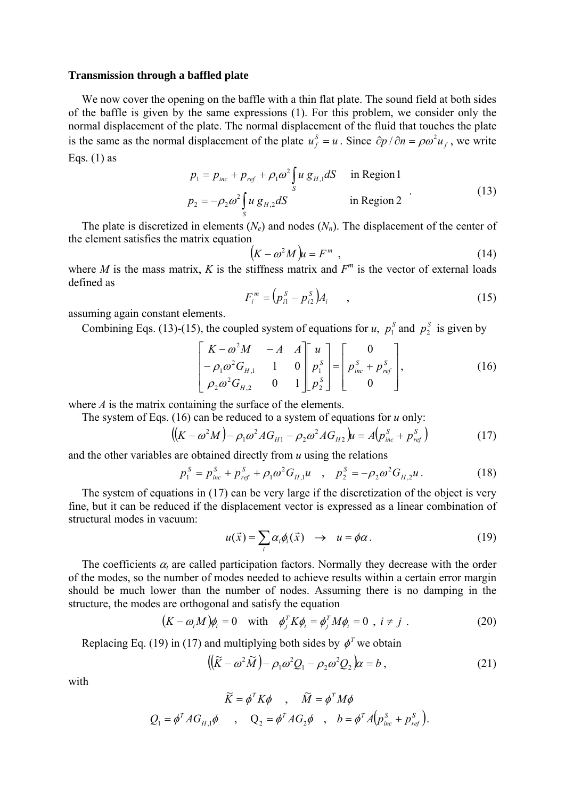#### **Transmission through a baffled plate**

We now cover the opening on the baffle with a thin flat plate. The sound field at both sides of the baffle is given by the same expressions (1). For this problem, we consider only the normal displacement of the plate. The normal displacement of the fluid that touches the plate is the same as the normal displacement of the plate  $u_f^s = u$ . Since  $\partial p / \partial n = \rho \omega^2 u_f$ , we write Eqs.  $(1)$  as

$$
p_1 = p_{inc} + p_{ref} + \rho_1 \omega^2 \int_S u g_{H,1} dS \quad \text{in Region 1}
$$
  
\n
$$
p_2 = -\rho_2 \omega^2 \int_S u g_{H,2} dS \quad \text{in Region 2}
$$
\n(13)

The plate is discretized in elements  $(N_e)$  and nodes  $(N_n)$ . The displacement of the center of the element satisfies the matrix equation

$$
\left(K - \omega^2 M\right)u = F^m \tag{14}
$$

where *M* is the mass matrix, *K* is the stiffness matrix and  $F^m$  is the vector of external loads defined as

$$
F_i^m = (p_{i1}^S - p_{i2}^S) A_i \tag{15}
$$

assuming again constant elements.

Combining Eqs. (13)-(15), the coupled system of equations for *u*,  $p_1^S$  and  $p_2^S$  is given by

$$
\begin{bmatrix} K - \omega^2 M & -A & A \\ -\rho_1 \omega^2 G_{H,1} & 1 & 0 \\ \rho_2 \omega^2 G_{H,2} & 0 & 1 \end{bmatrix} \begin{bmatrix} u \\ p_1^S \\ p_2^S \end{bmatrix} = \begin{bmatrix} 0 \\ p_{inc}^S + p_{ref}^S \\ 0 \end{bmatrix},
$$
 (16)

where *A* is the matrix containing the surface of the elements.

The system of Eqs.  $(16)$  can be reduced to a system of equations for *u* only:

$$
((K - \omega^2 M) - \rho_1 \omega^2 AG_{H1} - \rho_2 \omega^2 AG_{H2})u = A(p_{inc}^S + p_{ref}^S)
$$
 (17)

and the other variables are obtained directly from *u* using the relations

$$
p_1^S = p_{inc}^S + p_{ref}^S + \rho_1 \omega^2 G_{H,1} u \quad , \quad p_2^S = -\rho_2 \omega^2 G_{H,2} u \,. \tag{18}
$$

The system of equations in (17) can be very large if the discretization of the object is very fine, but it can be reduced if the displacement vector is expressed as a linear combination of structural modes in vacuum:

$$
u(\vec{x}) = \sum_{i} \alpha_{i} \phi_{i}(\vec{x}) \rightarrow u = \phi \alpha.
$$
 (19)

The coefficients  $\alpha_i$  are called participation factors. Normally they decrease with the order of the modes, so the number of modes needed to achieve results within a certain error margin should be much lower than the number of nodes. Assuming there is no damping in the structure, the modes are orthogonal and satisfy the equation

$$
(K - \omega_i M)\phi_i = 0 \quad \text{with} \quad \phi_j^T K \phi_i = \phi_j^T M \phi_i = 0 \quad , \quad i \neq j \quad . \tag{20}
$$

Replacing Eq. (19) in (17) and multiplying both sides by  $\phi^T$  we obtain

$$
((\widetilde{K} - \omega^2 \widetilde{M}) - \rho_1 \omega^2 Q_1 - \rho_2 \omega^2 Q_2)\alpha = b , \qquad (21)
$$

with

$$
\widetilde{K} = \phi^T K \phi \quad , \quad \widetilde{M} = \phi^T M \phi
$$
  

$$
Q_1 = \phi^T A G_{H,1} \phi \quad , \quad Q_2 = \phi^T A G_2 \phi \quad , \quad b = \phi^T A (p_{inc}^S + p_{ref}^S).
$$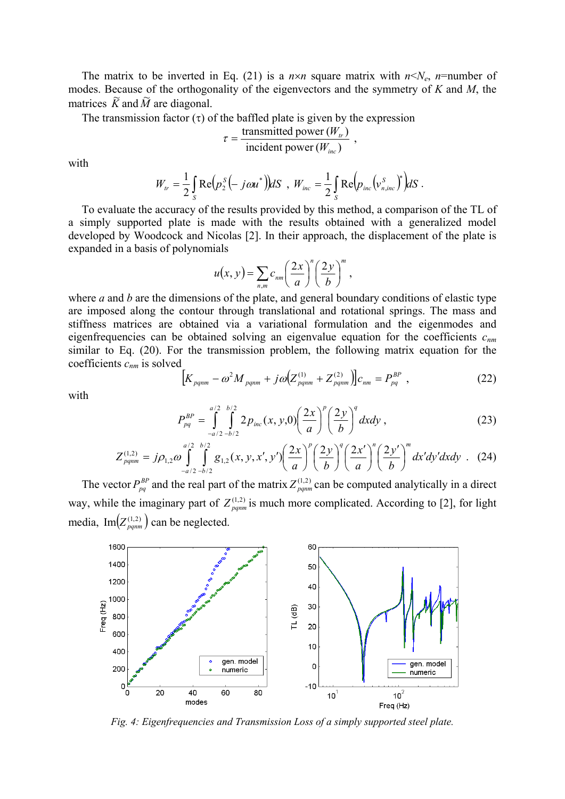The matrix to be inverted in Eq. (21) is a  $n \times n$  square matrix with  $n \le N_e$ ,  $n$ =number of modes. Because of the orthogonality of the eigenvectors and the symmetry of *K* and *M*, the matrices  $\tilde{K}$  and  $\tilde{M}$  are diagonal.

The transmission factor  $(\tau)$  of the baffled plate is given by the expression

$$
\tau = \frac{\text{transmitted power} (W_{tr})}{\text{incident power} (W_{inc})} ,
$$

with

$$
W_{tr} = \frac{1}{2} \int_{S} \text{Re} \Big( p_2^S \Big( - j \omega u^* \Big) \Big) dS \, , \, W_{inc} = \frac{1}{2} \int_{S} \text{Re} \Big( p_{inc} \Big( v_{n,inc}^S \Big)^* \Big) dS \, .
$$

To evaluate the accuracy of the results provided by this method, a comparison of the TL of a simply supported plate is made with the results obtained with a generalized model developed by Woodcock and Nicolas [2]. In their approach, the displacement of the plate is expanded in a basis of polynomials

$$
u(x, y) = \sum_{n,m} c_{nm} \left(\frac{2x}{a}\right)^n \left(\frac{2y}{b}\right)^m,
$$

where *a* and *b* are the dimensions of the plate, and general boundary conditions of elastic type are imposed along the contour through translational and rotational springs. The mass and stiffness matrices are obtained via a variational formulation and the eigenmodes and eigenfrequencies can be obtained solving an eigenvalue equation for the coefficients *cnm* similar to Eq. (20). For the transmission problem, the following matrix equation for the coefficients *cnm* is solved

$$
\left[K_{pqnm} - \omega^2 M_{pqnm} + j\omega \left(Z_{pqnm}^{(1)} + Z_{pqnm}^{(2)}\right)\right]c_{nm} = P_{pq}^{BP} ,\qquad (22)
$$

with

$$
P_{pq}^{BP} = \int_{-a/2}^{a/2} \int_{-b/2}^{b/2} 2p_{inc}(x, y, 0) \left(\frac{2x}{a}\right)^p \left(\frac{2y}{b}\right)^q dx dy , \qquad (23)
$$

$$
Z_{pqnm}^{(1,2)} = j\rho_{1,2}\omega \int_{-a/2}^{a/2} \int_{-b/2}^{b/2} g_{1,2}(x,y,x',y') \left(\frac{2x}{a}\right)^p \left(\frac{2y}{b}\right)^q \left(\frac{2x'}{a}\right)^n \left(\frac{2y'}{b}\right)^m dx'dy'dxdy
$$
 (24)

The vector  $P_{pq}^{BP}$  and the real part of the matrix  $Z_{pqnm}^{(1,2)}$  can be computed analytically in a direct way, while the imaginary part of  $Z_{pqnm}^{(1,2)}$  is much more complicated. According to [2], for light media,  $Im(Z_{pqnm}^{(1,2)})$  can be neglected.



*Fig. 4: Eigenfrequencies and Transmission Loss of a simply supported steel plate.*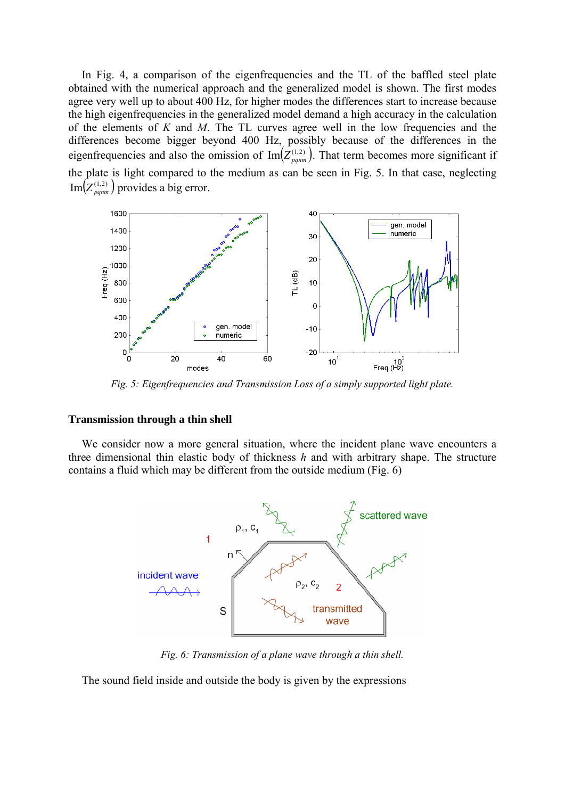In Fig. 4, a comparison of the eigenfrequencies and the TL of the baffled steel plate obtained with the numerical approach and the generalized model is shown. The first modes agree very well up to about 400 Hz, for higher modes the differences start to increase because the high eigenfrequencies in the generalized model demand a high accuracy in the calculation of the elements of *K* and *M*. The TL curves agree well in the low frequencies and the differences become bigger beyond 400 Hz, possibly because of the differences in the eigenfrequencies and also the omission of  $\text{Im}(Z_{pqnm}^{(1,2)})$ . That term becomes more significant if the plate is light compared to the medium as can be seen in Fig. 5. In that case, neglecting  $Im(Z_{pqnm}^{(1,2)})$  provides a big error.



*Fig. 5: Eigenfrequencies and Transmission Loss of a simply supported light plate.* 

### **Transmission through a thin shell**

We consider now a more general situation, where the incident plane wave encounters a three dimensional thin elastic body of thickness *h* and with arbitrary shape. The structure contains a fluid which may be different from the outside medium (Fig. 6)



*Fig. 6: Transmission of a plane wave through a thin shell.* 

The sound field inside and outside the body is given by the expressions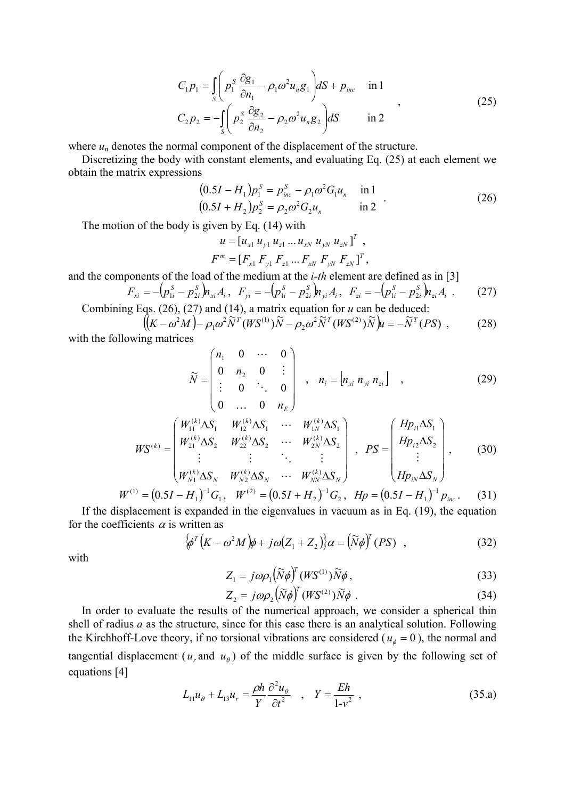$$
C_1 p_1 = \int_S \left( p_1^S \frac{\partial g_1}{\partial n_1} - \rho_1 \omega^2 u_n g_1 \right) dS + p_{inc} \quad \text{in 1}
$$
  
\n
$$
C_2 p_2 = -\int_S \left( p_2^S \frac{\partial g_2}{\partial n_2} - \rho_2 \omega^2 u_n g_2 \right) dS \quad \text{in 2}
$$
\n(25)

where  $u_n$  denotes the normal component of the displacement of the structure.

Discretizing the body with constant elements, and evaluating Eq. (25) at each element we obtain the matrix expressions

$$
(0.5I - H1)p1S = pincS - \rho1 \omega2 G1 un \text{ in 1}(0.5I + H2)p2S = \rho2 \omega2 G2 un \text{ in 2}
$$
 (26)

The motion of the body is given by Eq. (14) with

$$
u = [u_{x1} u_{y1} u_{z1} ... u_{xN} u_{yN} u_{zN}]^{T},
$$
  

$$
F^{m} = [F_{x1} F_{y1} F_{z1} ... F_{xN} F_{yN} F_{zN}]^{T},
$$

and the components of the load of the medium at the *i-th* element are defined as in [3]

$$
F_{xi} = -(p_{1i}^{S} - p_{2i}^{S})h_{xi}A_{i}, \quad F_{yi} = -(p_{1i}^{S} - p_{2i}^{S})h_{yi}A_{i}, \quad F_{zi} = -(p_{1i}^{S} - p_{2i}^{S})h_{zi}A_{i} \tag{27}
$$

Combining Eqs. (26), (27) and (14), a matrix equation for *u* can be deduced:

$$
[(K - \omega^2 M) - \rho_1 \omega^2 \tilde{N}^T (W S^{(1)}) \tilde{N} - \rho_2 \omega^2 \tilde{N}^T (W S^{(2)}) \tilde{N}]\mu = -\tilde{N}^T (PS) ,
$$
 (28)

with the following matrices

$$
\widetilde{N} = \begin{pmatrix} n_1 & 0 & \cdots & 0 \\ 0 & n_2 & 0 & \vdots \\ \vdots & 0 & \ddots & 0 \\ 0 & \cdots & 0 & n_E \end{pmatrix} , n_i = [n_{xi} n_{yi} n_{zi}] ,
$$
 (29)

$$
WS^{(k)} = \begin{pmatrix} W_{11}^{(k)} \Delta S_1 & W_{12}^{(k)} \Delta S_1 & \cdots & W_{1N}^{(k)} \Delta S_1 \\ W_{21}^{(k)} \Delta S_2 & W_{22}^{(k)} \Delta S_2 & \cdots & W_{2N}^{(k)} \Delta S_2 \\ \vdots & \vdots & \ddots & \vdots \\ W_{N1}^{(k)} \Delta S_N & W_{N2}^{(k)} \Delta S_N & \cdots & W_{NN}^{(k)} \Delta S_N \end{pmatrix}, PS = \begin{pmatrix} Hp_{i1} \Delta S_1 \\ Hp_{i2} \Delta S_2 \\ \vdots \\ Hp_{iN} \Delta S_N \end{pmatrix},
$$
(30)

$$
W^{(1)} = (0.5I - H_1)^{-1} G_1, \quad W^{(2)} = (0.5I + H_2)^{-1} G_2, \quad Hp = (0.5I - H_1)^{-1} p_{inc}. \tag{31}
$$

If the displacement is expanded in the eigenvalues in vacuum as in Eq. (19), the equation for the coefficients  $\alpha$  is written as

$$
\left\{\phi^{T}\left(K-\omega^{2}M\right)\phi+j\omega\left(Z_{1}+Z_{2}\right)\right\}\alpha=\left(\widetilde{N}\phi\right)^{T}\left(PS\right) ,\qquad (32)
$$

with

$$
Z_1 = j\omega \rho_1 \left(\widetilde{N}\phi\right)^T (W S^{(1)}) \widetilde{N}\phi\,,\tag{33}
$$

$$
Z_2 = j\omega \rho_2 \left(\tilde{N}\phi\right)^T (W S^{(2)}) \tilde{N}\phi \tag{34}
$$

In order to evaluate the results of the numerical approach, we consider a spherical thin shell of radius *a* as the structure, since for this case there is an analytical solution. Following the Kirchhoff-Love theory, if no torsional vibrations are considered ( $u_{\phi} = 0$ ), the normal and tangential displacement ( $u_r$  and  $u_\theta$ ) of the middle surface is given by the following set of equations [4]

$$
L_{11}u_{\theta} + L_{13}u_{r} = \frac{\rho h}{Y} \frac{\partial^{2} u_{\theta}}{\partial t^{2}} , \quad Y = \frac{Eh}{1 - v^{2}} , \tag{35.a}
$$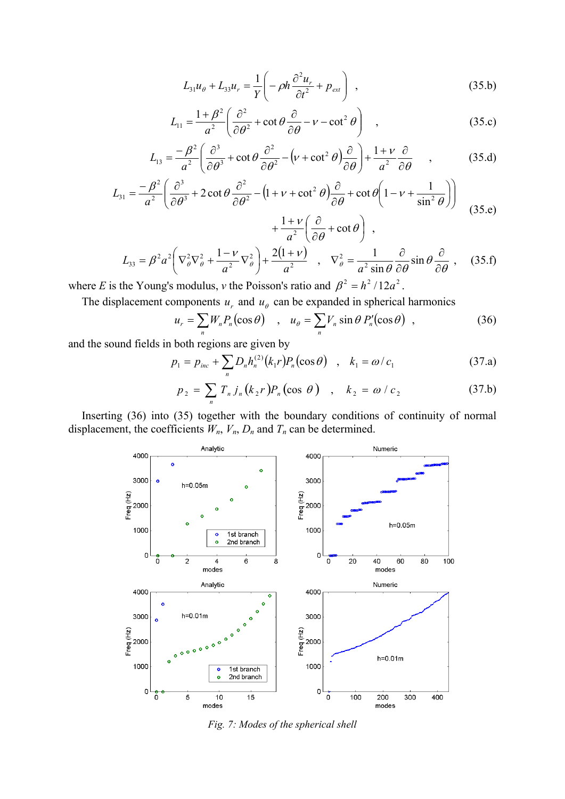$$
L_{31}u_{\theta} + L_{33}u_{r} = \frac{1}{Y}\left(-\rho h \frac{\partial^{2} u_{r}}{\partial t^{2}} + p_{ext}\right) , \qquad (35.b)
$$

$$
L_{11} = \frac{1+\beta^2}{a^2} \left( \frac{\partial^2}{\partial \theta^2} + \cot \theta \frac{\partial}{\partial \theta} - v - \cot^2 \theta \right) , \qquad (35.c)
$$

$$
L_{13} = \frac{-\beta^2}{a^2} \left( \frac{\partial^3}{\partial \theta^3} + \cot \theta \frac{\partial^2}{\partial \theta^2} - \left( v + \cot^2 \theta \right) \frac{\partial}{\partial \theta} \right) + \frac{1 + v}{a^2} \frac{\partial}{\partial \theta} , \qquad (35. d)
$$

$$
L_{31} = \frac{-\beta^2}{a^2} \left( \frac{\partial^3}{\partial \theta^3} + 2 \cot \theta \frac{\partial^2}{\partial \theta^2} - \left( 1 + v + \cot^2 \theta \right) \frac{\partial}{\partial \theta} + \cot \theta \left( 1 - v + \frac{1}{\sin^2 \theta} \right) \right) \tag{35.e}
$$

$$
+ \frac{1 + v}{a^2} \left( \frac{\partial}{\partial \theta} + \cot \theta \right) ,
$$

$$
L_{33} = \beta^2 a^2 \left( \nabla_{\theta}^2 \nabla_{\theta}^2 + \frac{1 - \nu}{a^2} \nabla_{\theta}^2 \right) + \frac{2(1 + \nu)}{a^2} , \nabla_{\theta}^2 = \frac{1}{a^2 \sin \theta} \frac{\partial}{\partial \theta} \sin \theta \frac{\partial}{\partial \theta} , \n(35. f)
$$

where *E* is the Young's modulus, *v* the Poisson's ratio and  $\beta^2 = h^2 / 12a^2$ .

The displacement components  $u_r$  and  $u_\theta$  can be expanded in spherical harmonics

$$
u_r = \sum_n W_n P_n(\cos \theta) \quad , \quad u_\theta = \sum_n V_n \sin \theta \, P'_n(\cos \theta) \quad , \tag{36}
$$

and the sound fields in both regions are given by

$$
p_1 = p_{inc} + \sum_n D_n h_n^{(2)}(k_1 r) P_n(\cos \theta) \quad , \quad k_1 = \omega / c_1 \tag{37.1}
$$

$$
p_2 = \sum_n T_n j_n (k_2 r) P_n (\cos \theta) , \quad k_2 = \omega / c_2
$$
 (37.b)

Inserting (36) into (35) together with the boundary conditions of continuity of normal displacement, the coefficients  $W_n$ ,  $V_n$ ,  $D_n$  and  $T_n$  can be determined.



*Fig. 7: Modes of the spherical shell*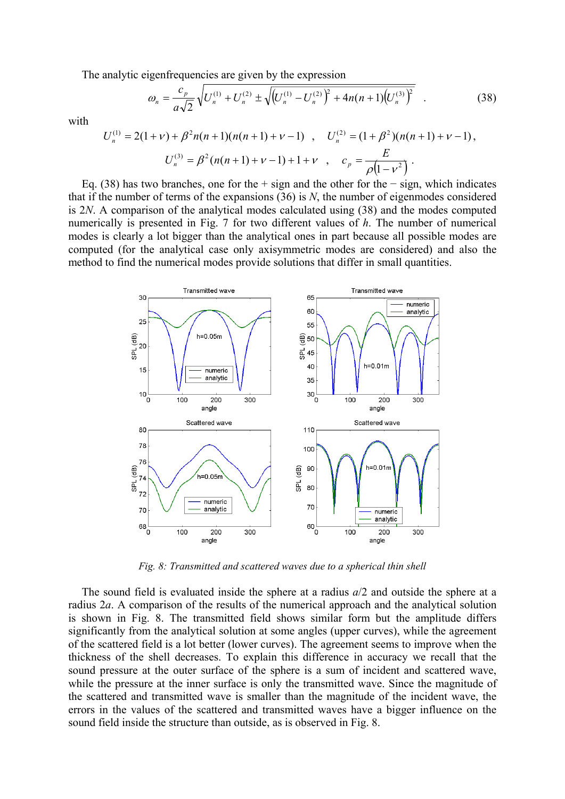The analytic eigenfrequencies are given by the expression

$$
\omega_n = \frac{c_p}{a\sqrt{2}} \sqrt{U_n^{(1)} + U_n^{(2)} \pm \sqrt{\left(U_n^{(1)} - U_n^{(2)}\right)^2 + 4n(n+1)\left(U_n^{(3)}\right)^2}} \quad . \tag{38}
$$

with

$$
U_n^{(1)} = 2(1+\nu) + \beta^2 n(n+1)(n(n+1)+\nu-1) , \quad U_n^{(2)} = (1+\beta^2)(n(n+1)+\nu-1) ,
$$
  

$$
U_n^{(3)} = \beta^2 (n(n+1)+\nu-1) + 1 + \nu , \quad c_p = \frac{E}{\rho(1-\nu^2)} .
$$

Eq. (38) has two branches, one for the + sign and the other for the − sign, which indicates that if the number of terms of the expansions (36) is *N*, the number of eigenmodes considered is 2*N*. A comparison of the analytical modes calculated using (38) and the modes computed numerically is presented in Fig. 7 for two different values of *h*. The number of numerical modes is clearly a lot bigger than the analytical ones in part because all possible modes are computed (for the analytical case only axisymmetric modes are considered) and also the method to find the numerical modes provide solutions that differ in small quantities.



*Fig. 8: Transmitted and scattered waves due to a spherical thin shell* 

The sound field is evaluated inside the sphere at a radius *a*/2 and outside the sphere at a radius 2*a*. A comparison of the results of the numerical approach and the analytical solution is shown in Fig. 8. The transmitted field shows similar form but the amplitude differs significantly from the analytical solution at some angles (upper curves), while the agreement of the scattered field is a lot better (lower curves). The agreement seems to improve when the thickness of the shell decreases. To explain this difference in accuracy we recall that the sound pressure at the outer surface of the sphere is a sum of incident and scattered wave, while the pressure at the inner surface is only the transmitted wave. Since the magnitude of the scattered and transmitted wave is smaller than the magnitude of the incident wave, the errors in the values of the scattered and transmitted waves have a bigger influence on the sound field inside the structure than outside, as is observed in Fig. 8.